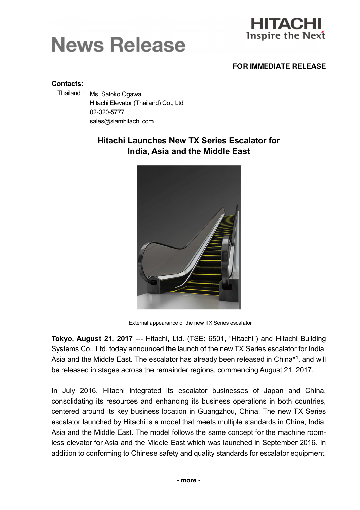# **News Release**



#### **FOR IMMEDIATE RELEASE**

#### Contacts:

Thailand : Ms. Satoko Ogawa Hitachi Elevator (Thailand) Co., Ltd 02-320-5777 sales@siamhitachi.com

## Hitachi Launches New TX Series Escalator for India, Asia and the Middle East



External appearance of the new TX Series escalator

Tokyo, August 21, 2017 --- Hitachi, Ltd. (TSE: 6501, "Hitachi") and Hitachi Building Systems Co., Ltd. today announced the launch of the new TX Series escalator for India, Asia and the Middle East. The escalator has already been released in China\*1, and will be released in stages across the remainder regions, commencing August 21, 2017.

In July 2016, Hitachi integrated its escalator businesses of Japan and China, consolidating its resources and enhancing its business operations in both countries, centered around its key business location in Guangzhou, China. The new TX Series escalator launched by Hitachi is a model that meets multiple standards in China, India, Asia and the Middle East. The model follows the same concept for the machine roomless elevator for Asia and the Middle East which was launched in September 2016. In addition to conforming to Chinese safety and quality standards for escalator equipment,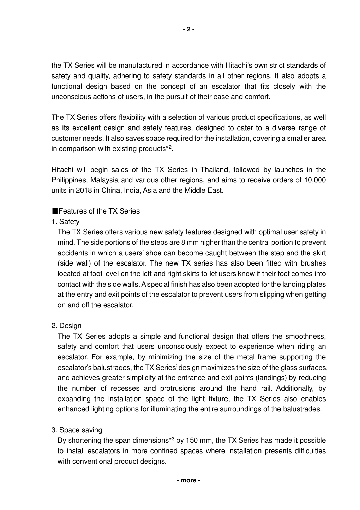the TX Series will be manufactured in accordance with Hitachi's own strict standards of safety and quality, adhering to safety standards in all other regions. It also adopts a functional design based on the concept of an escalator that fits closely with the unconscious actions of users, in the pursuit of their ease and comfort.

The TX Series offers flexibility with a selection of various product specifications, as well as its excellent design and safety features, designed to cater to a diverse range of customer needs. It also saves space required for the installation, covering a smaller area in comparison with existing products\*<sup>2</sup> .

Hitachi will begin sales of the TX Series in Thailand, followed by launches in the Philippines, Malaysia and various other regions, and aims to receive orders of 10,000 units in 2018 in China, India, Asia and the Middle East.

### ■Features of the TX Series

### 1. Safety

The TX Series offers various new safety features designed with optimal user safety in mind. The side portions of the steps are 8 mm higher than the central portion to prevent accidents in which a users' shoe can become caught between the step and the skirt (side wall) of the escalator. The new TX series has also been fitted with brushes located at foot level on the left and right skirts to let users know if their foot comes into contact with the side walls. A special finish has also been adopted for the landing plates at the entry and exit points of the escalator to prevent users from slipping when getting on and off the escalator.

#### 2. Design

The TX Series adopts a simple and functional design that offers the smoothness, safety and comfort that users unconsciously expect to experience when riding an escalator. For example, by minimizing the size of the metal frame supporting the escalator's balustrades, the TX Series' design maximizes the size of the glass surfaces, and achieves greater simplicity at the entrance and exit points (landings) by reducing the number of recesses and protrusions around the hand rail. Additionally, by expanding the installation space of the light fixture, the TX Series also enables enhanced lighting options for illuminating the entire surroundings of the balustrades.

#### 3. Space saving

By shortening the span dimensions<sup>\*3</sup> by 150 mm, the TX Series has made it possible to install escalators in more confined spaces where installation presents difficulties with conventional product designs.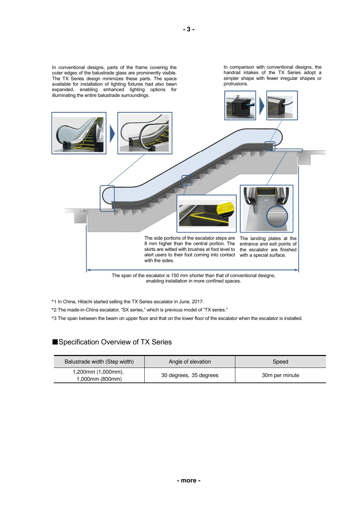

\*1 In China, Hitachi started selling the TX Series escalator in June, 2017.

\*2 The made-in-China escalator, "SX series," which is previous model of "TX series."

\*3 The span between the beam on upper floor and that on the lower floor of the escalator when the escalator is installed.

#### ■Specification Overview of TX Series

| Balustrade width (Step width)         | Angle of elevation     | Speed          |
|---------------------------------------|------------------------|----------------|
| 1,200mm (1,000mm),<br>1,000mm (800mm) | 30 degrees, 35 degrees | 30m per minute |